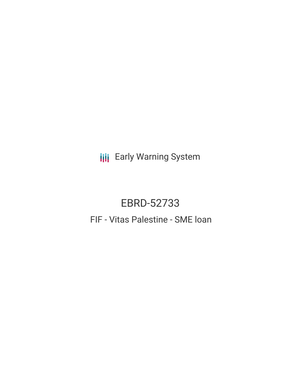**III** Early Warning System

# EBRD-52733 FIF - Vitas Palestine - SME loan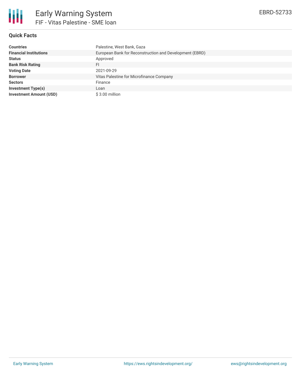

# **Quick Facts**

| <b>Countries</b>               | Palestine, West Bank, Gaza                              |
|--------------------------------|---------------------------------------------------------|
| <b>Financial Institutions</b>  | European Bank for Reconstruction and Development (EBRD) |
| <b>Status</b>                  | Approved                                                |
| <b>Bank Risk Rating</b>        | FI                                                      |
| <b>Voting Date</b>             | 2021-09-29                                              |
| <b>Borrower</b>                | Vitas Palestine for Microfinance Company                |
| <b>Sectors</b>                 | Finance                                                 |
| <b>Investment Type(s)</b>      | Loan                                                    |
| <b>Investment Amount (USD)</b> | \$3.00 million                                          |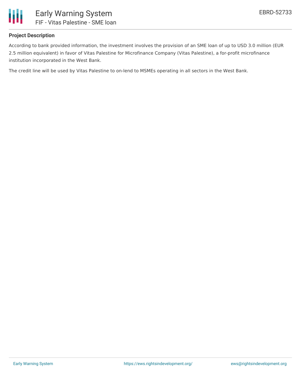

## **Project Description**

According to bank provided information, the investment involves the provision of an SME loan of up to USD 3.0 million (EUR 2.5 million equivalent) in favor of Vitas Palestine for Microfinance Company (Vitas Palestine), a for-profit microfinance institution incorporated in the West Bank.

The credit line will be used by Vitas Palestine to on-lend to MSMEs operating in all sectors in the West Bank.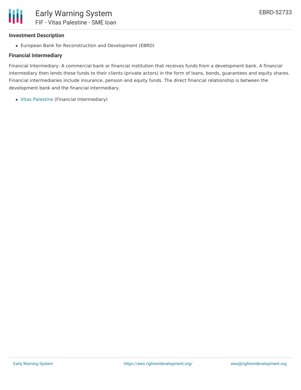#### **Investment Description**

European Bank for Reconstruction and Development (EBRD)

## **Financial Intermediary**

Financial Intermediary: A commercial bank or financial institution that receives funds from a development bank. A financial intermediary then lends these funds to their clients (private actors) in the form of loans, bonds, guarantees and equity shares. Financial intermediaries include insurance, pension and equity funds. The direct financial relationship is between the development bank and the financial intermediary.

Vitas [Palestine](file:///actor/2964/) (Financial Intermediary)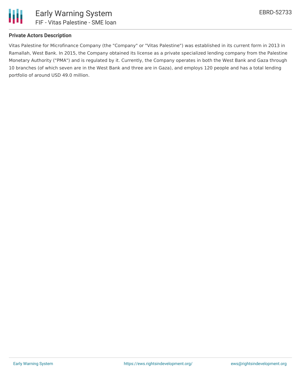

# **Private Actors Description**

Vitas Palestine for Microfinance Company (the "Company" or "Vitas Palestine") was established in its current form in 2013 in Ramallah, West Bank. In 2015, the Company obtained its license as a private specialized lending company from the Palestine Monetary Authority ("PMA") and is regulated by it. Currently, the Company operates in both the West Bank and Gaza through 10 branches (of which seven are in the West Bank and three are in Gaza), and employs 120 people and has a total lending portfolio of around USD 49.0 million.